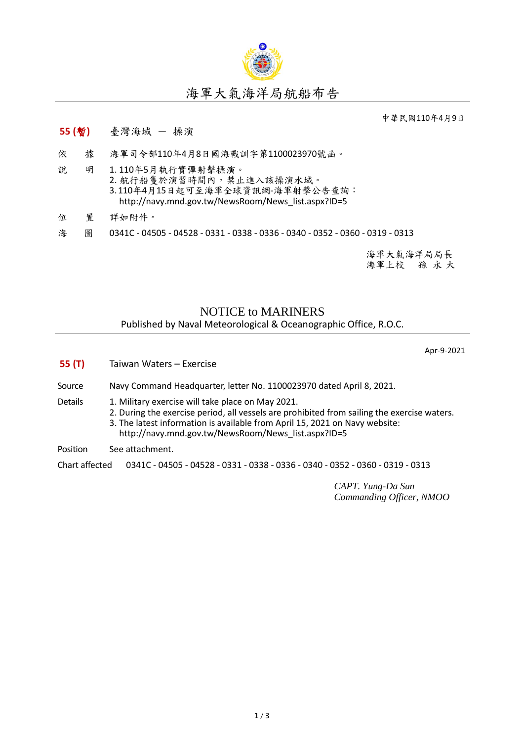

## 海軍大氣海洋局航船布告

中華民國110年4月9日

## **55 (**暫**)** 臺灣海域 - 操演

- 依 據 海軍司令部110年4月8日國海戰訓字第1100023970號函。
- 說 明 1. 110年5月執行實彈射擊操演。 2. 航行船隻於演習時間內,禁止進入該操演水域。 3.110年4月15日起可至海軍全球資訊網-海軍射擊公告查詢: [http://navy.mnd.gov.tw/NewsRoom/News\\_list.aspx?ID=5](http://navy.mnd.gov.tw/NewsRoom/News_list.aspx?ID=5)
- 位 置 詳如附件。
- 海 圖 0341C 04505 04528 0331 0338 0336 0340 0352 0360 0319 0313

海軍大氣海洋局局長 海軍上校 孫 永 大

## NOTICE to MARINERS Published by Naval Meteorological & Oceanographic Office, R.O.C.

Apr-9-2021

**55 (T)** Taiwan Waters – Exercise Source Navy Command Headquarter, letter No. 1100023970 dated April 8, 2021. Details 1. Military exercise will take place on May 2021. 2. During the exercise period, all vessels are prohibited from sailing the exercise waters. 3. The latest information is available from April 15, 2021 on Navy website: [http://navy.mnd.gov.tw/NewsRoom/News\\_list.aspx?ID=5](http://navy.mnd.gov.tw/NewsRoom/News_list.aspx?ID=5) Position See attachment. Chart affected 0341C - 04505 - 04528 - 0331 - 0338 - 0336 - 0340 - 0352 - 0360 - 0319 - 0313

> *CAPT. Yung-Da Sun Commanding Officer, NMOO*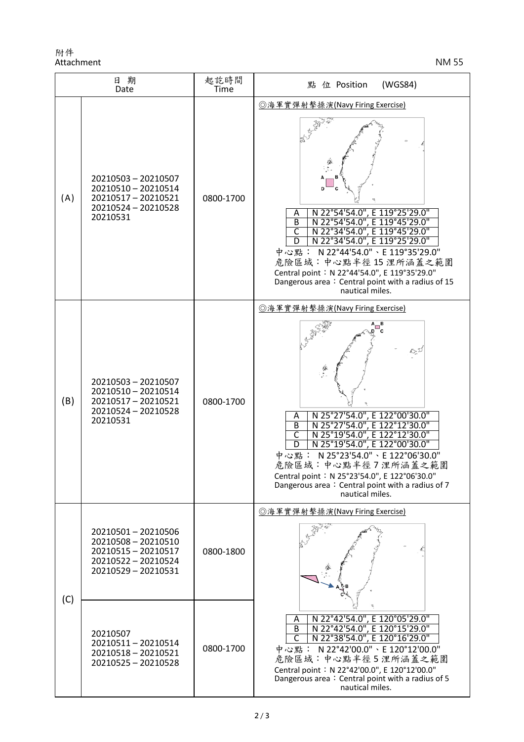附件 Attachment NM 55

| 日期<br>Date |                                                                                                               | 起訖時間<br>Time | (WGS84)<br>點 位 Position                                                                                                                                                                                                                                                                                                                                                                                 |
|------------|---------------------------------------------------------------------------------------------------------------|--------------|---------------------------------------------------------------------------------------------------------------------------------------------------------------------------------------------------------------------------------------------------------------------------------------------------------------------------------------------------------------------------------------------------------|
| (A)        | 20210503 - 20210507<br>20210510 - 20210514<br>20210517 - 20210521<br>20210524 - 20210528<br>20210531          | 0800-1700    | ◎海軍實彈射擊操演(Navy Firing Exercise)<br>N 22°54'54.0", E 119°25'29.0"<br>Α<br>N 22°54'54.0", E 119°45'29.0"<br>B<br>$\overline{\mathsf{c}}$<br>E 119°45'29.0"<br>N 22°34'54.0",<br>E 119°25'29.0"<br>N 22°34'54.0",<br>中心點: N22°44'54.0"、E 119°35'29.0"<br>危險區域:中心點半徑15浬所涵蓋之範圍<br>Central point: N 22°44'54.0", E 119°35'29.0"<br>Dangerous area: Central point with a radius of 15<br>nautical miles.       |
| (B)        | 20210503 - 20210507<br>20210510 - 20210514<br>20210517 - 20210521<br>20210524 - 20210528<br>20210531          | 0800-1700    | ◎海軍實彈射擊操演(Navy Firing Exercise)<br>$\frac{D_{\rm c}}{D}$<br>N 25°27'54.0", E 122°00'30.0"<br>Α<br>N 25°27'54.0", E 122°12'30.0"<br>B<br>C<br>N 25°19'54.0", E 122°12'30.0"<br>N 25°19'54.0", E 122°00'30.0"<br>D<br>N 25°23'54.0" \ E 122°06'30.0"<br>中心點:<br>危險區域:中心點半徑7浬所涵蓋之範圍<br>Central point: N 25°23'54.0", E 122°06'30.0"<br>Dangerous area: Central point with a radius of 7<br>nautical miles. |
| (C)        | 20210501-20210506<br>20210508 - 20210510<br>20210515 - 20210517<br>20210522 - 20210524<br>20210529 - 20210531 | 0800-1800    | ◎海軍實彈射擊操演(Navy Firing Exercise)                                                                                                                                                                                                                                                                                                                                                                         |
|            | 20210507<br>20210511-20210514<br>20210518 - 20210521<br>20210525 - 20210528                                   | 0800-1700    | N 22°42'54.0", E 120°05'29.0"<br>Α<br>N 22°42'54.0", E 120°15'29.0"<br>$\overline{B}$<br>N 22°38'54.0", E 120°16'29.0"<br>$\mathsf{C}$<br>中心點: N22°42'00.0"、E 120°12'00.0"<br>危險區域:中心點半徑5浬所涵蓋之範圍<br>Central point: N 22°42'00.0", E 120°12'00.0"<br>Dangerous area: Central point with a radius of 5<br>nautical miles.                                                                                 |